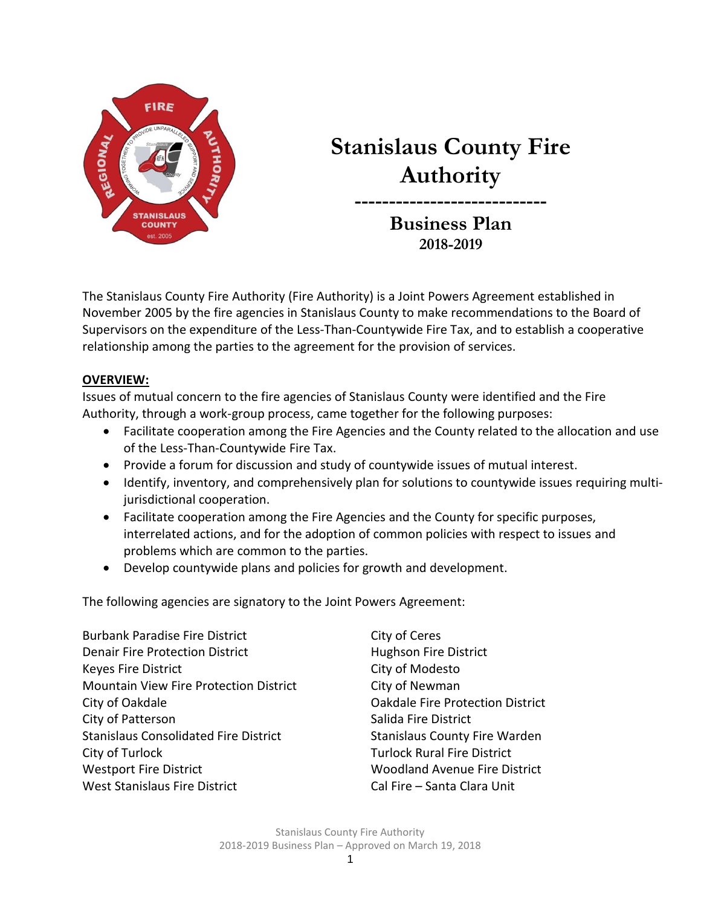

# **Stanislaus County Fire Authority**

**---------------------------- Business Plan 2018-2019**

The Stanislaus County Fire Authority (Fire Authority) is a Joint Powers Agreement established in November 2005 by the fire agencies in Stanislaus County to make recommendations to the Board of Supervisors on the expenditure of the Less-Than-Countywide Fire Tax, and to establish a cooperative relationship among the parties to the agreement for the provision of services.

#### **OVERVIEW:**

Issues of mutual concern to the fire agencies of Stanislaus County were identified and the Fire Authority, through a work-group process, came together for the following purposes:

- Facilitate cooperation among the Fire Agencies and the County related to the allocation and use of the Less-Than-Countywide Fire Tax.
- Provide a forum for discussion and study of countywide issues of mutual interest.
- Identify, inventory, and comprehensively plan for solutions to countywide issues requiring multijurisdictional cooperation.
- Facilitate cooperation among the Fire Agencies and the County for specific purposes, interrelated actions, and for the adoption of common policies with respect to issues and problems which are common to the parties.
- Develop countywide plans and policies for growth and development.

The following agencies are signatory to the Joint Powers Agreement:

Burbank Paradise Fire District City of Ceres Denair Fire Protection District **Hughson Fire District** Keyes Fire District **City of Modesto** Mountain View Fire Protection District City of Newman City of Oakdale Oakdale Fire Protection District City of Patterson City of Patterson Stanislaus Consolidated Fire District Stanislaus County Fire Warden City of Turlock Turlock Rural Fire District Westport Fire District Woodland Avenue Fire District West Stanislaus Fire District Cal Fire – Santa Clara Unit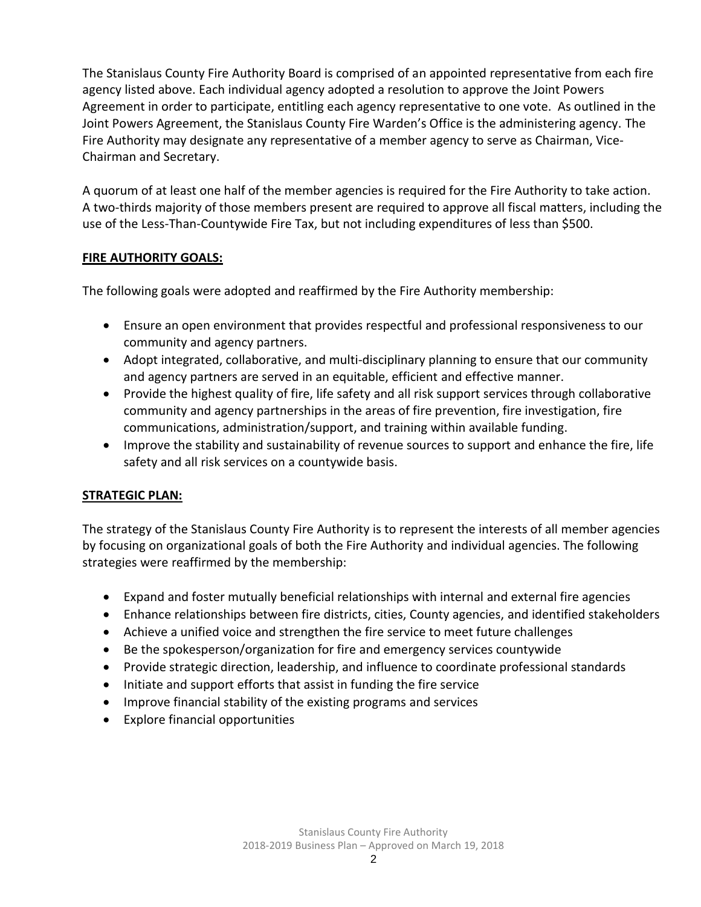The Stanislaus County Fire Authority Board is comprised of an appointed representative from each fire agency listed above. Each individual agency adopted a resolution to approve the Joint Powers Agreement in order to participate, entitling each agency representative to one vote. As outlined in the Joint Powers Agreement, the Stanislaus County Fire Warden's Office is the administering agency. The Fire Authority may designate any representative of a member agency to serve as Chairman, Vice-Chairman and Secretary.

A quorum of at least one half of the member agencies is required for the Fire Authority to take action. A two-thirds majority of those members present are required to approve all fiscal matters, including the use of the Less-Than-Countywide Fire Tax, but not including expenditures of less than \$500.

#### **FIRE AUTHORITY GOALS:**

The following goals were adopted and reaffirmed by the Fire Authority membership:

- Ensure an open environment that provides respectful and professional responsiveness to our community and agency partners.
- Adopt integrated, collaborative, and multi-disciplinary planning to ensure that our community and agency partners are served in an equitable, efficient and effective manner.
- Provide the highest quality of fire, life safety and all risk support services through collaborative community and agency partnerships in the areas of fire prevention, fire investigation, fire communications, administration/support, and training within available funding.
- Improve the stability and sustainability of revenue sources to support and enhance the fire, life safety and all risk services on a countywide basis.

### **STRATEGIC PLAN:**

The strategy of the Stanislaus County Fire Authority is to represent the interests of all member agencies by focusing on organizational goals of both the Fire Authority and individual agencies. The following strategies were reaffirmed by the membership:

- Expand and foster mutually beneficial relationships with internal and external fire agencies
- Enhance relationships between fire districts, cities, County agencies, and identified stakeholders
- Achieve a unified voice and strengthen the fire service to meet future challenges
- Be the spokesperson/organization for fire and emergency services countywide
- Provide strategic direction, leadership, and influence to coordinate professional standards
- Initiate and support efforts that assist in funding the fire service
- Improve financial stability of the existing programs and services
- Explore financial opportunities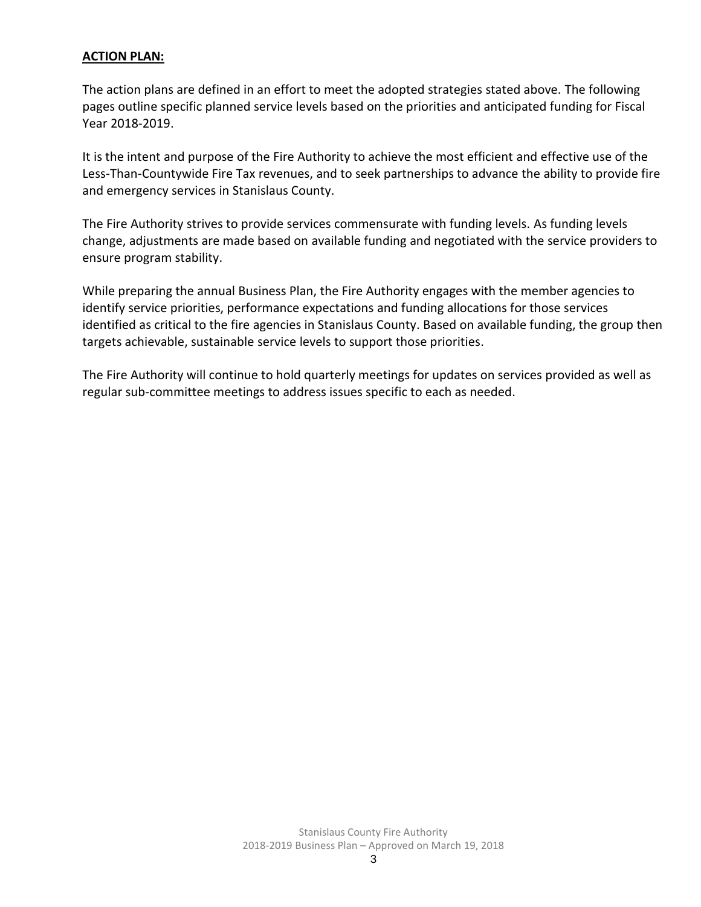#### **ACTION PLAN:**

The action plans are defined in an effort to meet the adopted strategies stated above. The following pages outline specific planned service levels based on the priorities and anticipated funding for Fiscal Year 2018-2019.

It is the intent and purpose of the Fire Authority to achieve the most efficient and effective use of the Less-Than-Countywide Fire Tax revenues, and to seek partnerships to advance the ability to provide fire and emergency services in Stanislaus County.

The Fire Authority strives to provide services commensurate with funding levels. As funding levels change, adjustments are made based on available funding and negotiated with the service providers to ensure program stability.

While preparing the annual Business Plan, the Fire Authority engages with the member agencies to identify service priorities, performance expectations and funding allocations for those services identified as critical to the fire agencies in Stanislaus County. Based on available funding, the group then targets achievable, sustainable service levels to support those priorities.

The Fire Authority will continue to hold quarterly meetings for updates on services provided as well as regular sub-committee meetings to address issues specific to each as needed.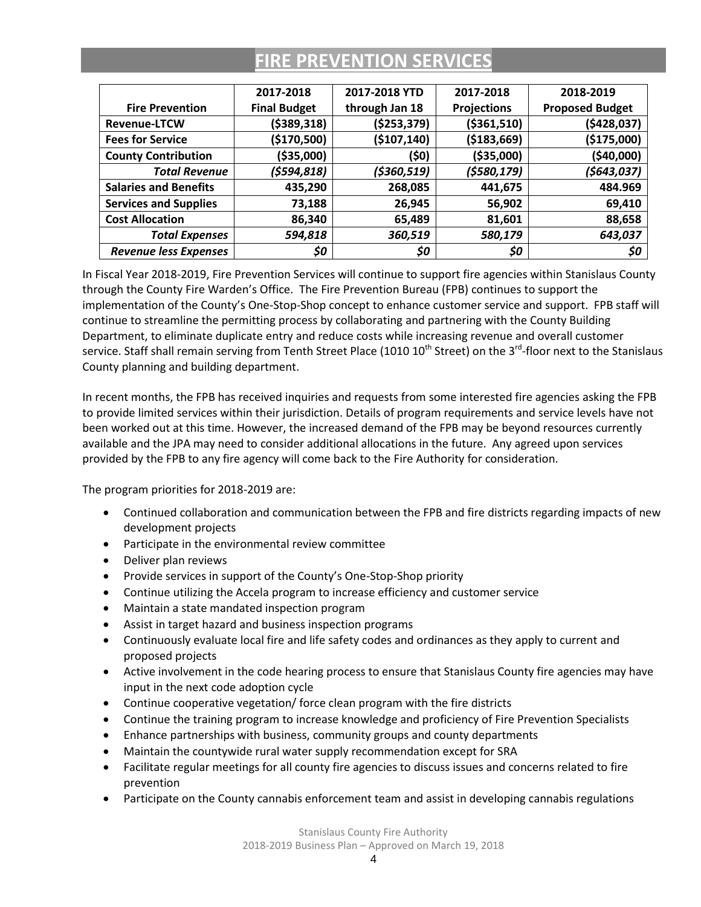## **FIRE PREVENTION SERVICES**

|                              | 2017-2018           | 2017-2018 YTD  | 2017-2018          | 2018-2019              |
|------------------------------|---------------------|----------------|--------------------|------------------------|
| <b>Fire Prevention</b>       | <b>Final Budget</b> | through Jan 18 | <b>Projections</b> | <b>Proposed Budget</b> |
| <b>Revenue-LTCW</b>          | ( \$389, 318)       | (\$253,379)    | ( \$361, 510)      | (5428, 037)            |
| <b>Fees for Service</b>      | (\$170,500)         | (\$107,140)    | ( \$183,669)       | (\$175,000)            |
| <b>County Contribution</b>   | (\$35,000)          | (\$0)          | ( \$35,000)        | (\$40,000)             |
| <b>Total Revenue</b>         | (\$594,818)         | (\$360,519)    | (\$580,179)        | (\$643,037)            |
| <b>Salaries and Benefits</b> | 435,290             | 268,085        | 441,675            | 484.969                |
| <b>Services and Supplies</b> | 73,188              | 26,945         | 56,902             | 69,410                 |
| <b>Cost Allocation</b>       | 86,340              | 65,489         | 81,601             | 88,658                 |
| <b>Total Expenses</b>        | 594,818             | 360,519        | 580,179            | 643,037                |
| <b>Revenue less Expenses</b> | \$0                 | \$0            | \$0                | \$0                    |

In Fiscal Year 2018-2019, Fire Prevention Services will continue to support fire agencies within Stanislaus County through the County Fire Warden's Office. The Fire Prevention Bureau (FPB) continues to support the implementation of the County's One-Stop-Shop concept to enhance customer service and support. FPB staff will continue to streamline the permitting process by collaborating and partnering with the County Building Department, to eliminate duplicate entry and reduce costs while increasing revenue and overall customer service. Staff shall remain serving from Tenth Street Place (1010 10<sup>th</sup> Street) on the 3<sup>rd</sup>-floor next to the Stanislaus County planning and building department.

In recent months, the FPB has received inquiries and requests from some interested fire agencies asking the FPB to provide limited services within their jurisdiction. Details of program requirements and service levels have not been worked out at this time. However, the increased demand of the FPB may be beyond resources currently available and the JPA may need to consider additional allocations in the future. Any agreed upon services provided by the FPB to any fire agency will come back to the Fire Authority for consideration.

- Continued collaboration and communication between the FPB and fire districts regarding impacts of new development projects
- Participate in the environmental review committee
- Deliver plan reviews
- Provide services in support of the County's One-Stop-Shop priority
- Continue utilizing the Accela program to increase efficiency and customer service
- Maintain a state mandated inspection program
- Assist in target hazard and business inspection programs
- Continuously evaluate local fire and life safety codes and ordinances as they apply to current and proposed projects
- Active involvement in the code hearing process to ensure that Stanislaus County fire agencies may have input in the next code adoption cycle
- Continue cooperative vegetation/ force clean program with the fire districts
- Continue the training program to increase knowledge and proficiency of Fire Prevention Specialists
- Enhance partnerships with business, community groups and county departments
- Maintain the countywide rural water supply recommendation except for SRA
- Facilitate regular meetings for all county fire agencies to discuss issues and concerns related to fire prevention
- Participate on the County cannabis enforcement team and assist in developing cannabis regulations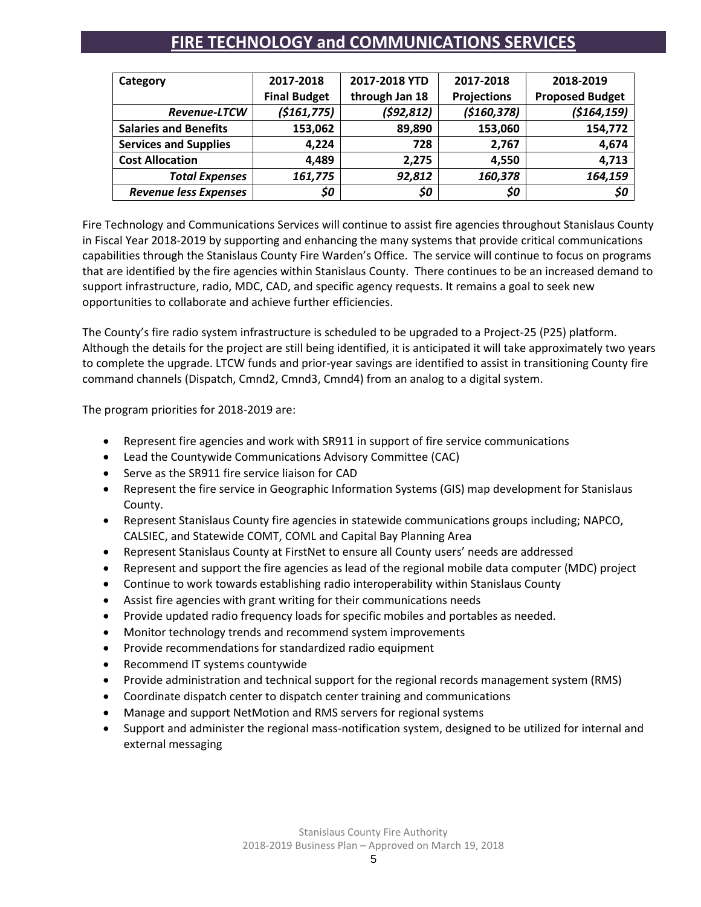### **FIRE TECHNOLOGY and COMMUNICATIONS SERVICES**

| Category                     | 2017-2018           | 2017-2018 YTD  | 2017-2018          | 2018-2019              |  |
|------------------------------|---------------------|----------------|--------------------|------------------------|--|
|                              | <b>Final Budget</b> | through Jan 18 | <b>Projections</b> | <b>Proposed Budget</b> |  |
| <b>Revenue-LTCW</b>          | ( \$161, 775)       | (592, 812)     | ( \$160, 378)      | (5164, 159)            |  |
| <b>Salaries and Benefits</b> | 153,062             | 89,890         | 153,060            | 154,772                |  |
| <b>Services and Supplies</b> | 4,224               | 728            | 2,767              | 4,674                  |  |
| <b>Cost Allocation</b>       | 4,489               | 2,275          | 4,550              | 4,713                  |  |
| <b>Total Expenses</b>        | 161,775             | 92,812         | 160,378            | 164,159                |  |
| <b>Revenue less Expenses</b> | \$0                 | \$0            | \$0                | \$0                    |  |

Fire Technology and Communications Services will continue to assist fire agencies throughout Stanislaus County in Fiscal Year 2018-2019 by supporting and enhancing the many systems that provide critical communications capabilities through the Stanislaus County Fire Warden's Office. The service will continue to focus on programs that are identified by the fire agencies within Stanislaus County. There continues to be an increased demand to support infrastructure, radio, MDC, CAD, and specific agency requests. It remains a goal to seek new opportunities to collaborate and achieve further efficiencies.

The County's fire radio system infrastructure is scheduled to be upgraded to a Project-25 (P25) platform. Although the details for the project are still being identified, it is anticipated it will take approximately two years to complete the upgrade. LTCW funds and prior-year savings are identified to assist in transitioning County fire command channels (Dispatch, Cmnd2, Cmnd3, Cmnd4) from an analog to a digital system.

- Represent fire agencies and work with SR911 in support of fire service communications
- Lead the Countywide Communications Advisory Committee (CAC)
- Serve as the SR911 fire service liaison for CAD
- Represent the fire service in Geographic Information Systems (GIS) map development for Stanislaus County.
- Represent Stanislaus County fire agencies in statewide communications groups including; NAPCO, CALSIEC, and Statewide COMT, COML and Capital Bay Planning Area
- Represent Stanislaus County at FirstNet to ensure all County users' needs are addressed
- Represent and support the fire agencies as lead of the regional mobile data computer (MDC) project
- Continue to work towards establishing radio interoperability within Stanislaus County
- Assist fire agencies with grant writing for their communications needs
- Provide updated radio frequency loads for specific mobiles and portables as needed.
- Monitor technology trends and recommend system improvements
- Provide recommendations for standardized radio equipment
- Recommend IT systems countywide
- Provide administration and technical support for the regional records management system (RMS)
- Coordinate dispatch center to dispatch center training and communications
- Manage and support NetMotion and RMS servers for regional systems
- Support and administer the regional mass-notification system, designed to be utilized for internal and external messaging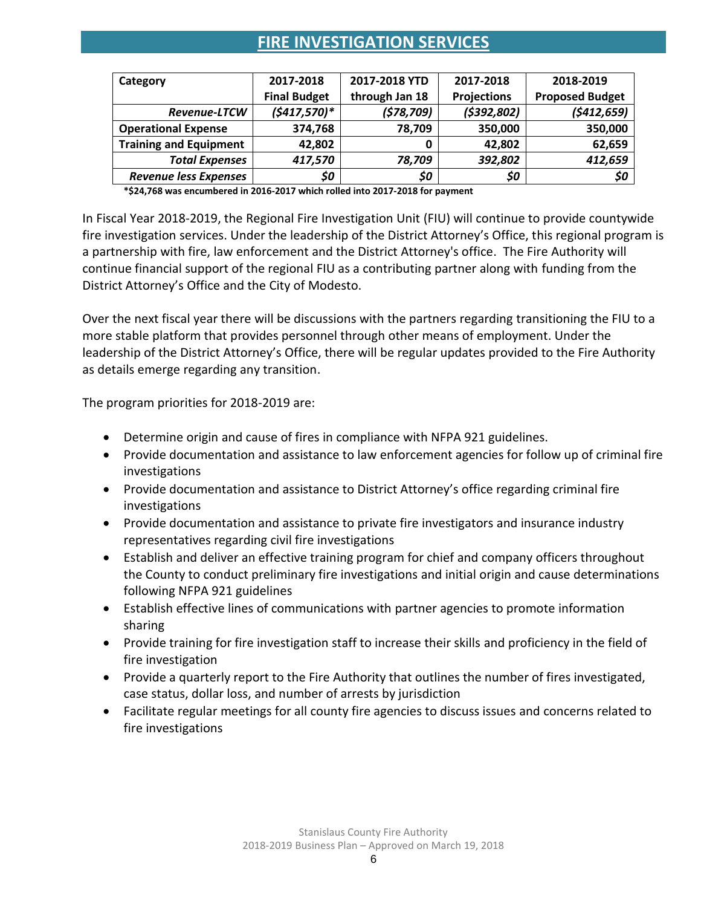### **FIRE INVESTIGATION SERVICES**

| Category                      | 2017-2018           | 2017-2018 YTD  | 2017-2018          | 2018-2019              |
|-------------------------------|---------------------|----------------|--------------------|------------------------|
|                               | <b>Final Budget</b> | through Jan 18 | <b>Projections</b> | <b>Proposed Budget</b> |
| Revenue-LTCW                  | $(5417,570)*$       | (578, 709)     | (5392, 802)        | (5412, 659)            |
| <b>Operational Expense</b>    | 374,768             | 78,709         | 350,000            | 350,000                |
| <b>Training and Equipment</b> | 42,802              |                | 42,802             | 62,659                 |
| <b>Total Expenses</b>         | 417,570             | 78,709         | 392,802            | 412,659                |
| <b>Revenue less Expenses</b>  | \$0                 | \$0            | \$0                | \$0                    |

**\*\$24,768 was encumbered in 2016-2017 which rolled into 2017-2018 for payment**

In Fiscal Year 2018-2019, the Regional Fire Investigation Unit (FIU) will continue to provide countywide fire investigation services. Under the leadership of the District Attorney's Office, this regional program is a partnership with fire, law enforcement and the District Attorney's office. The Fire Authority will continue financial support of the regional FIU as a contributing partner along with funding from the District Attorney's Office and the City of Modesto.

Over the next fiscal year there will be discussions with the partners regarding transitioning the FIU to a more stable platform that provides personnel through other means of employment. Under the leadership of the District Attorney's Office, there will be regular updates provided to the Fire Authority as details emerge regarding any transition.

- Determine origin and cause of fires in compliance with NFPA 921 guidelines.
- Provide documentation and assistance to law enforcement agencies for follow up of criminal fire investigations
- Provide documentation and assistance to District Attorney's office regarding criminal fire investigations
- Provide documentation and assistance to private fire investigators and insurance industry representatives regarding civil fire investigations
- Establish and deliver an effective training program for chief and company officers throughout the County to conduct preliminary fire investigations and initial origin and cause determinations following NFPA 921 guidelines
- Establish effective lines of communications with partner agencies to promote information sharing
- Provide training for fire investigation staff to increase their skills and proficiency in the field of fire investigation
- Provide a quarterly report to the Fire Authority that outlines the number of fires investigated, case status, dollar loss, and number of arrests by jurisdiction
- Facilitate regular meetings for all county fire agencies to discuss issues and concerns related to fire investigations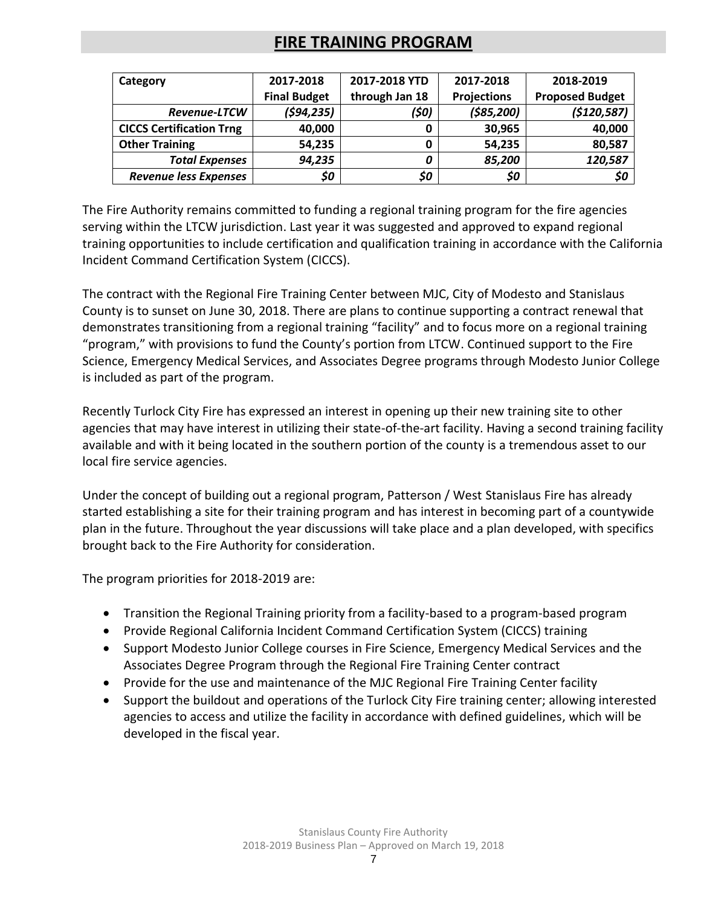### **FIRE TRAINING PROGRAM**

| Category                        | 2017-2018           | 2017-2018 YTD  | 2017-2018          | 2018-2019              |
|---------------------------------|---------------------|----------------|--------------------|------------------------|
|                                 | <b>Final Budget</b> | through Jan 18 | <b>Projections</b> | <b>Proposed Budget</b> |
| <b>Revenue-LTCW</b>             | (594, 235)          | (\$0)          | (585, 200)         | (\$120,587)            |
| <b>CICCS Certification Trng</b> | 40,000              |                | 30,965             | 40,000                 |
| <b>Other Training</b>           | 54,235              |                | 54,235             | 80,587                 |
| <b>Total Expenses</b>           | 94,235              |                | 85,200             | 120,587                |
| <b>Revenue less Expenses</b>    | \$0                 | \$0            | \$0                | \$0                    |

The Fire Authority remains committed to funding a regional training program for the fire agencies serving within the LTCW jurisdiction. Last year it was suggested and approved to expand regional training opportunities to include certification and qualification training in accordance with the California Incident Command Certification System (CICCS).

The contract with the Regional Fire Training Center between MJC, City of Modesto and Stanislaus County is to sunset on June 30, 2018. There are plans to continue supporting a contract renewal that demonstrates transitioning from a regional training "facility" and to focus more on a regional training "program," with provisions to fund the County's portion from LTCW. Continued support to the Fire Science, Emergency Medical Services, and Associates Degree programs through Modesto Junior College is included as part of the program.

Recently Turlock City Fire has expressed an interest in opening up their new training site to other agencies that may have interest in utilizing their state-of-the-art facility. Having a second training facility available and with it being located in the southern portion of the county is a tremendous asset to our local fire service agencies.

Under the concept of building out a regional program, Patterson / West Stanislaus Fire has already started establishing a site for their training program and has interest in becoming part of a countywide plan in the future. Throughout the year discussions will take place and a plan developed, with specifics brought back to the Fire Authority for consideration.

- Transition the Regional Training priority from a facility-based to a program-based program
- Provide Regional California Incident Command Certification System (CICCS) training
- Support Modesto Junior College courses in Fire Science, Emergency Medical Services and the Associates Degree Program through the Regional Fire Training Center contract
- Provide for the use and maintenance of the MJC Regional Fire Training Center facility
- Support the buildout and operations of the Turlock City Fire training center; allowing interested agencies to access and utilize the facility in accordance with defined guidelines, which will be developed in the fiscal year.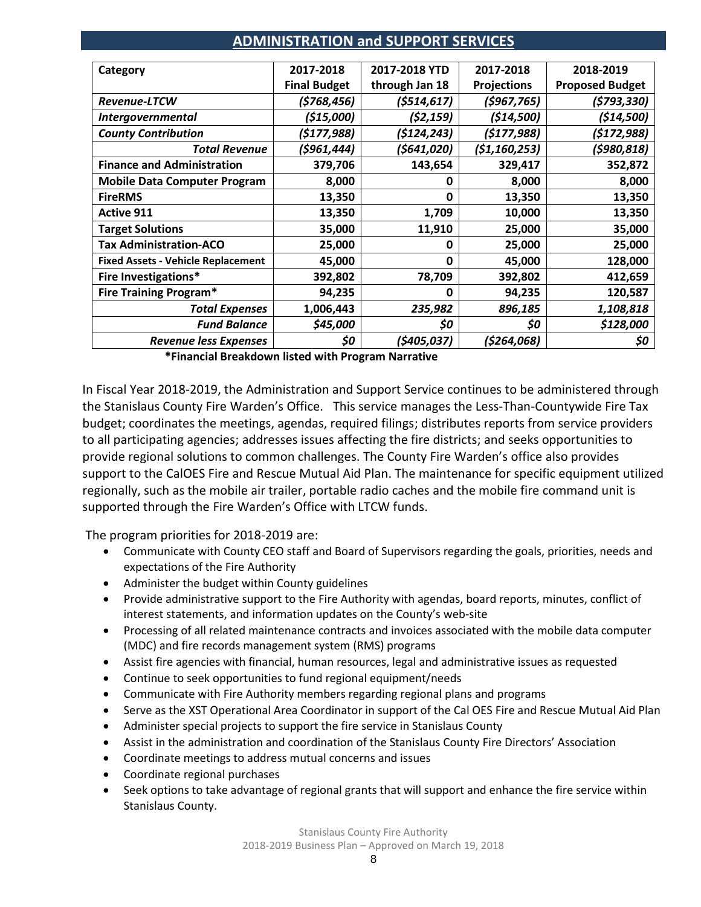### **ADMINISTRATION and SUPPORT SERVICES**

| Category                                  | 2017-2018           | 2017-2018 YTD  | 2017-2018          | 2018-2019              |
|-------------------------------------------|---------------------|----------------|--------------------|------------------------|
|                                           | <b>Final Budget</b> | through Jan 18 | <b>Projections</b> | <b>Proposed Budget</b> |
| Revenue-LTCW                              | (\$768,456)         | (5514, 617)    | (5967, 765)        | (\$793,330)            |
| <b>Intergovernmental</b>                  | (\$15,000)          | (52, 159)      | (514,500)          | (\$14,500)             |
| <b>County Contribution</b>                | (\$177,988)         | (\$124,243)    | (5177, 988)        | (\$172,988)            |
| <b>Total Revenue</b>                      | (\$961,444)         | (\$641,020)    | (51, 160, 253)     | (5980, 818)            |
| <b>Finance and Administration</b>         | 379,706             | 143,654        | 329,417            | 352,872                |
| <b>Mobile Data Computer Program</b>       | 8,000               | 0              | 8,000              | 8,000                  |
| <b>FireRMS</b>                            | 13,350              | 0              | 13,350             | 13,350                 |
| <b>Active 911</b>                         | 13,350              | 1,709          | 10,000             | 13,350                 |
| <b>Target Solutions</b>                   | 35,000              | 11,910         | 25,000             | 35,000                 |
| <b>Tax Administration-ACO</b>             | 25,000              | 0              | 25,000             | 25,000                 |
| <b>Fixed Assets - Vehicle Replacement</b> | 45,000              | $\Omega$       | 45,000             | 128,000                |
| Fire Investigations*                      | 392,802             | 78,709         | 392,802            | 412,659                |
| <b>Fire Training Program*</b>             | 94,235              | 0              | 94,235             | 120,587                |
| <b>Total Expenses</b>                     | 1,006,443           | 235,982        | 896,185            | 1,108,818              |
| <b>Fund Balance</b>                       | \$45,000            | \$0            | \$0                | \$128,000              |
| <b>Revenue less Expenses</b>              | \$0                 | (\$405,037)    | (\$264,068)        | \$0                    |

**\*Financial Breakdown listed with Program Narrative**

In Fiscal Year 2018-2019, the Administration and Support Service continues to be administered through the Stanislaus County Fire Warden's Office. This service manages the Less-Than-Countywide Fire Tax budget; coordinates the meetings, agendas, required filings; distributes reports from service providers to all participating agencies; addresses issues affecting the fire districts; and seeks opportunities to provide regional solutions to common challenges. The County Fire Warden's office also provides support to the CalOES Fire and Rescue Mutual Aid Plan. The maintenance for specific equipment utilized regionally, such as the mobile air trailer, portable radio caches and the mobile fire command unit is supported through the Fire Warden's Office with LTCW funds.

- Communicate with County CEO staff and Board of Supervisors regarding the goals, priorities, needs and expectations of the Fire Authority
- Administer the budget within County guidelines
- Provide administrative support to the Fire Authority with agendas, board reports, minutes, conflict of interest statements, and information updates on the County's web-site
- Processing of all related maintenance contracts and invoices associated with the mobile data computer (MDC) and fire records management system (RMS) programs
- Assist fire agencies with financial, human resources, legal and administrative issues as requested
- Continue to seek opportunities to fund regional equipment/needs
- Communicate with Fire Authority members regarding regional plans and programs
- Serve as the XST Operational Area Coordinator in support of the Cal OES Fire and Rescue Mutual Aid Plan
- Administer special projects to support the fire service in Stanislaus County
- Assist in the administration and coordination of the Stanislaus County Fire Directors' Association
- Coordinate meetings to address mutual concerns and issues
- Coordinate regional purchases
- Seek options to take advantage of regional grants that will support and enhance the fire service within Stanislaus County.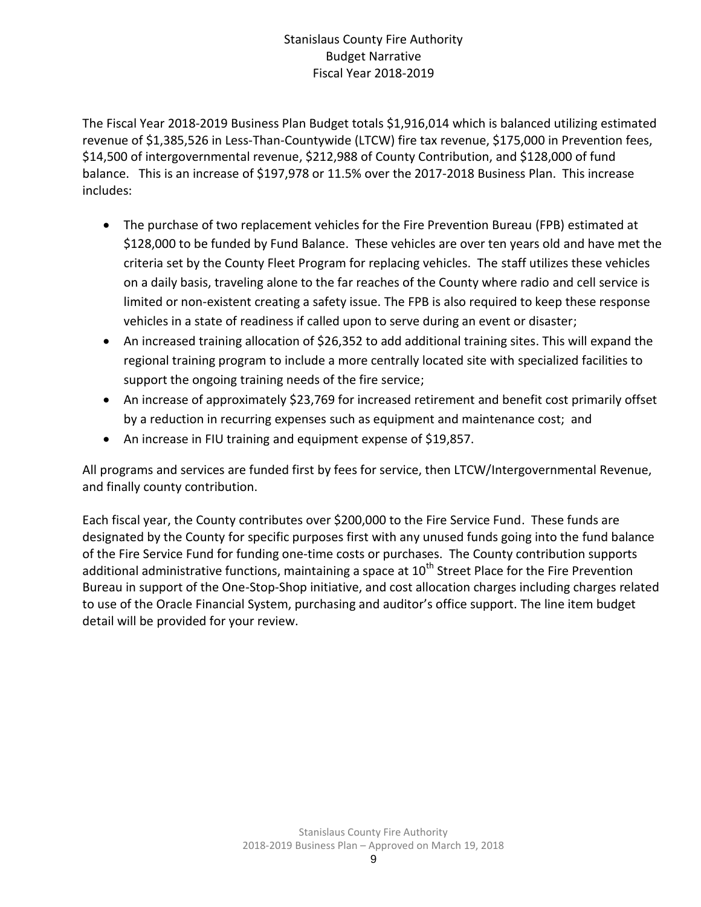### Stanislaus County Fire Authority Budget Narrative Fiscal Year 2018-2019

The Fiscal Year 2018-2019 Business Plan Budget totals \$1,916,014 which is balanced utilizing estimated revenue of \$1,385,526 in Less-Than-Countywide (LTCW) fire tax revenue, \$175,000 in Prevention fees, \$14,500 of intergovernmental revenue, \$212,988 of County Contribution, and \$128,000 of fund balance. This is an increase of \$197,978 or 11.5% over the 2017-2018 Business Plan. This increase includes:

- The purchase of two replacement vehicles for the Fire Prevention Bureau (FPB) estimated at \$128,000 to be funded by Fund Balance. These vehicles are over ten years old and have met the criteria set by the County Fleet Program for replacing vehicles. The staff utilizes these vehicles on a daily basis, traveling alone to the far reaches of the County where radio and cell service is limited or non-existent creating a safety issue. The FPB is also required to keep these response vehicles in a state of readiness if called upon to serve during an event or disaster;
- An increased training allocation of \$26,352 to add additional training sites. This will expand the regional training program to include a more centrally located site with specialized facilities to support the ongoing training needs of the fire service;
- An increase of approximately \$23,769 for increased retirement and benefit cost primarily offset by a reduction in recurring expenses such as equipment and maintenance cost; and
- An increase in FIU training and equipment expense of \$19,857.

All programs and services are funded first by fees for service, then LTCW/Intergovernmental Revenue, and finally county contribution.

Each fiscal year, the County contributes over \$200,000 to the Fire Service Fund. These funds are designated by the County for specific purposes first with any unused funds going into the fund balance of the Fire Service Fund for funding one-time costs or purchases. The County contribution supports additional administrative functions, maintaining a space at  $10<sup>th</sup>$  Street Place for the Fire Prevention Bureau in support of the One-Stop-Shop initiative, and cost allocation charges including charges related to use of the Oracle Financial System, purchasing and auditor's office support. The line item budget detail will be provided for your review.